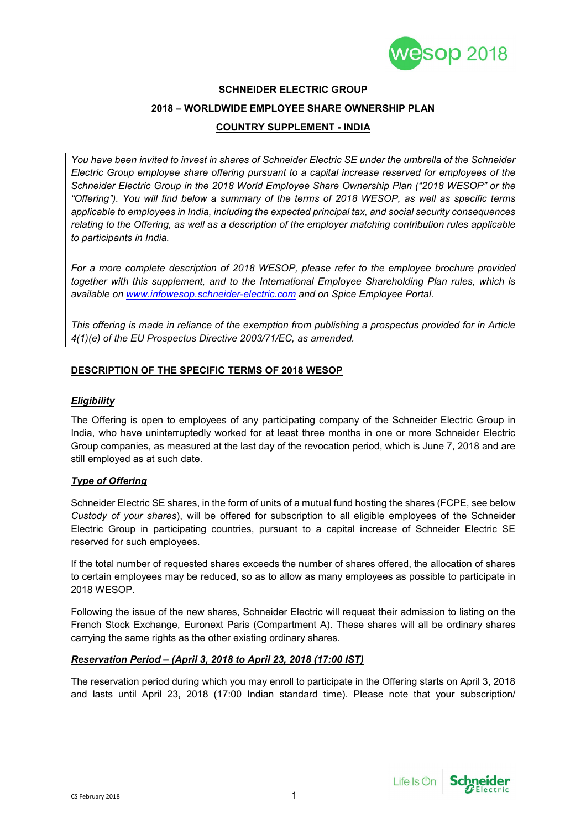

# **SCHNEIDER ELECTRIC GROUP 2018 – WORLDWIDE EMPLOYEE SHARE OWNERSHIP PLAN**

## **COUNTRY SUPPLEMENT - INDIA**

*You have been invited to invest in shares of Schneider Electric SE under the umbrella of the Schneider Electric Group employee share offering pursuant to a capital increase reserved for employees of the Schneider Electric Group in the 2018 World Employee Share Ownership Plan ("2018 WESOP" or the "Offering"). You will find below a summary of the terms of 2018 WESOP, as well as specific terms applicable to employees in India, including the expected principal tax, and social security consequences relating to the Offering, as well as a description of the employer matching contribution rules applicable to participants in India.*

*For a more complete description of 2018 WESOP, please refer to the employee brochure provided together with this supplement, and to the International Employee Shareholding Plan rules, which is available on www.infowesop.schneider-electric.com and on Spice Employee Portal.*

*This offering is made in reliance of the exemption from publishing a prospectus provided for in Article 4(1)(e) of the EU Prospectus Directive 2003/71/EC, as amended.*

#### **DESCRIPTION OF THE SPECIFIC TERMS OF 2018 WESOP**

#### *Eligibility*

The Offering is open to employees of any participating company of the Schneider Electric Group in India, who have uninterruptedly worked for at least three months in one or more Schneider Electric Group companies, as measured at the last day of the revocation period, which is June 7, 2018 and are still employed as at such date.

#### *Type of Offering*

Schneider Electric SE shares, in the form of units of a mutual fund hosting the shares (FCPE, see below *Custody of your shares*), will be offered for subscription to all eligible employees of the Schneider Electric Group in participating countries, pursuant to a capital increase of Schneider Electric SE reserved for such employees.

If the total number of requested shares exceeds the number of shares offered, the allocation of shares to certain employees may be reduced, so as to allow as many employees as possible to participate in 2018 WESOP.

Following the issue of the new shares, Schneider Electric will request their admission to listing on the French Stock Exchange, Euronext Paris (Compartment A). These shares will all be ordinary shares carrying the same rights as the other existing ordinary shares.

#### *Reservation Period – (April 3, 2018 to April 23, 2018 (17:00 IST)*

The reservation period during which you may enroll to participate in the Offering starts on April 3, 2018 and lasts until April 23, 2018 (17:00 Indian standard time). Please note that your subscription/

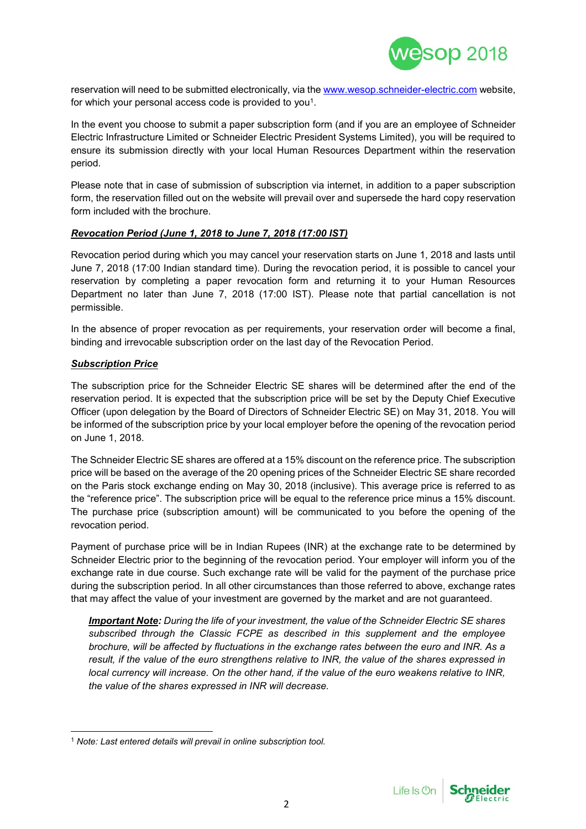

reservation will need to be submitted electronically, via the www.wesop.schneider-electric.com website, for which your personal access code is provided to you<sup>1</sup>.

In the event you choose to submit a paper subscription form (and if you are an employee of Schneider Electric Infrastructure Limited or Schneider Electric President Systems Limited), you will be required to ensure its submission directly with your local Human Resources Department within the reservation period.

Please note that in case of submission of subscription via internet, in addition to a paper subscription form, the reservation filled out on the website will prevail over and supersede the hard copy reservation form included with the brochure.

#### *Revocation Period (June 1, 2018 to June 7, 2018 (17:00 IST)*

Revocation period during which you may cancel your reservation starts on June 1, 2018 and lasts until June 7, 2018 (17:00 Indian standard time). During the revocation period, it is possible to cancel your reservation by completing a paper revocation form and returning it to your Human Resources Department no later than June 7, 2018 (17:00 IST). Please note that partial cancellation is not permissible.

In the absence of proper revocation as per requirements, your reservation order will become a final, binding and irrevocable subscription order on the last day of the Revocation Period.

#### *Subscription Price*

The subscription price for the Schneider Electric SE shares will be determined after the end of the reservation period. It is expected that the subscription price will be set by the Deputy Chief Executive Officer (upon delegation by the Board of Directors of Schneider Electric SE) on May 31, 2018. You will be informed of the subscription price by your local employer before the opening of the revocation period on June 1, 2018.

The Schneider Electric SE shares are offered at a 15% discount on the reference price. The subscription price will be based on the average of the 20 opening prices of the Schneider Electric SE share recorded on the Paris stock exchange ending on May 30, 2018 (inclusive). This average price is referred to as the "reference price". The subscription price will be equal to the reference price minus a 15% discount. The purchase price (subscription amount) will be communicated to you before the opening of the revocation period.

Payment of purchase price will be in Indian Rupees (INR) at the exchange rate to be determined by Schneider Electric prior to the beginning of the revocation period. Your employer will inform you of the exchange rate in due course. Such exchange rate will be valid for the payment of the purchase price during the subscription period. In all other circumstances than those referred to above, exchange rates that may affect the value of your investment are governed by the market and are not guaranteed.

*Important Note: During the life of your investment, the value of the Schneider Electric SE shares subscribed through the Classic FCPE as described in this supplement and the employee brochure, will be affected by fluctuations in the exchange rates between the euro and INR. As a result, if the value of the euro strengthens relative to INR, the value of the shares expressed in local currency will increase. On the other hand, if the value of the euro weakens relative to INR, the value of the shares expressed in INR will decrease.*



<sup>1</sup> *Note: Last entered details will prevail in online subscription tool.*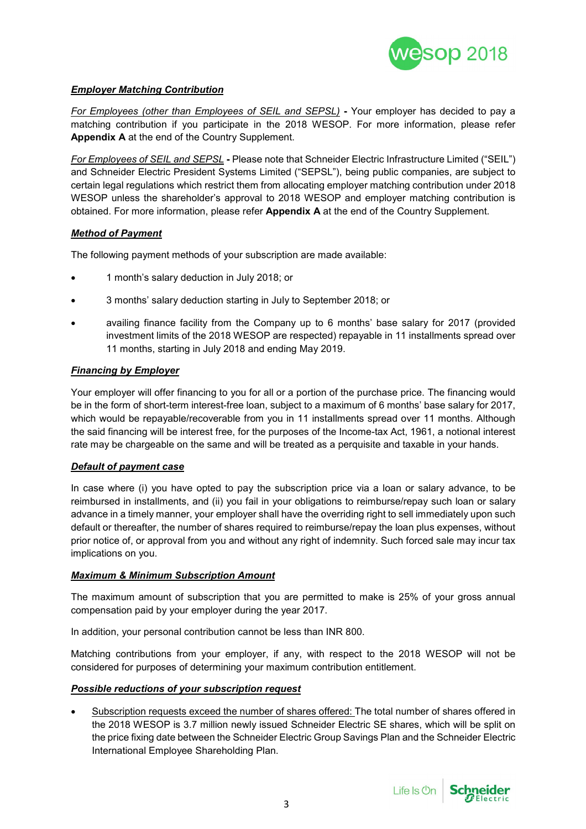

#### *Employer Matching Contribution*

*For Employees (other than Employees of SEIL and SEPSL)* **-** Your employer has decided to pay a matching contribution if you participate in the 2018 WESOP. For more information, please refer **Appendix A** at the end of the Country Supplement.

*For Employees of SEIL and SEPSL* **-** Please note that Schneider Electric Infrastructure Limited ("SEIL") and Schneider Electric President Systems Limited ("SEPSL"), being public companies, are subject to certain legal regulations which restrict them from allocating employer matching contribution under 2018 WESOP unless the shareholder's approval to 2018 WESOP and employer matching contribution is obtained. For more information, please refer **Appendix A** at the end of the Country Supplement.

#### *Method of Payment*

The following payment methods of your subscription are made available:

- 1 month's salary deduction in July 2018; or
- 3 months' salary deduction starting in July to September 2018; or
- availing finance facility from the Company up to 6 months' base salary for 2017 (provided investment limits of the 2018 WESOP are respected) repayable in 11 installments spread over 11 months, starting in July 2018 and ending May 2019.

#### *Financing by Employer*

Your employer will offer financing to you for all or a portion of the purchase price. The financing would be in the form of short-term interest-free loan, subject to a maximum of 6 months' base salary for 2017, which would be repayable/recoverable from you in 11 installments spread over 11 months. Although the said financing will be interest free, for the purposes of the Income-tax Act, 1961, a notional interest rate may be chargeable on the same and will be treated as a perquisite and taxable in your hands.

#### *Default of payment case*

In case where (i) you have opted to pay the subscription price via a loan or salary advance, to be reimbursed in installments, and (ii) you fail in your obligations to reimburse/repay such loan or salary advance in a timely manner, your employer shall have the overriding right to sell immediately upon such default or thereafter, the number of shares required to reimburse/repay the loan plus expenses, without prior notice of, or approval from you and without any right of indemnity. Such forced sale may incur tax implications on you.

#### *Maximum & Minimum Subscription Amount*

The maximum amount of subscription that you are permitted to make is 25% of your gross annual compensation paid by your employer during the year 2017.

In addition, your personal contribution cannot be less than INR 800.

Matching contributions from your employer, if any, with respect to the 2018 WESOP will not be considered for purposes of determining your maximum contribution entitlement.

#### *Possible reductions of your subscription request*

 Subscription requests exceed the number of shares offered: The total number of shares offered in the 2018 WESOP is 3.7 million newly issued Schneider Electric SE shares, which will be split on the price fixing date between the Schneider Electric Group Savings Plan and the Schneider Electric International Employee Shareholding Plan.

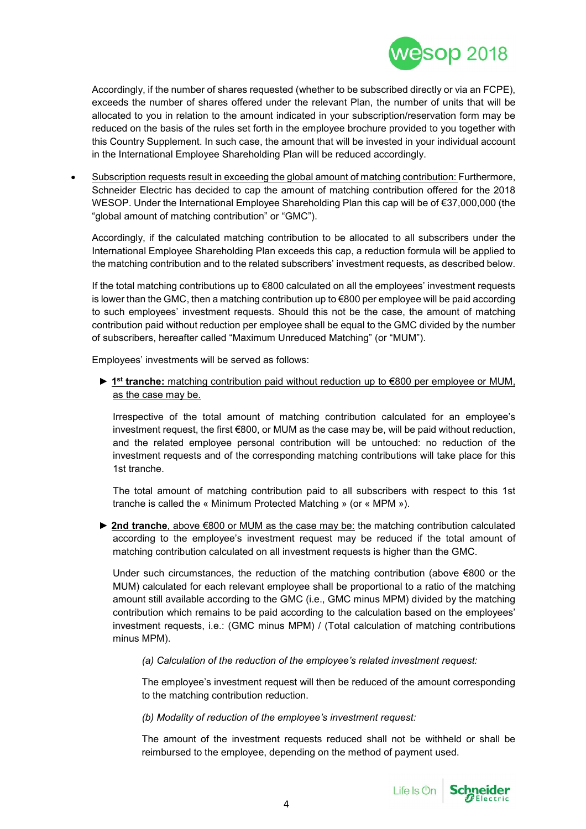

Accordingly, if the number of shares requested (whether to be subscribed directly or via an FCPE), exceeds the number of shares offered under the relevant Plan, the number of units that will be allocated to you in relation to the amount indicated in your subscription/reservation form may be reduced on the basis of the rules set forth in the employee brochure provided to you together with this Country Supplement. In such case, the amount that will be invested in your individual account in the International Employee Shareholding Plan will be reduced accordingly.

 Subscription requests result in exceeding the global amount of matching contribution: Furthermore, Schneider Electric has decided to cap the amount of matching contribution offered for the 2018 WESOP. Under the International Employee Shareholding Plan this cap will be of €37,000,000 (the "global amount of matching contribution" or "GMC").

Accordingly, if the calculated matching contribution to be allocated to all subscribers under the International Employee Shareholding Plan exceeds this cap, a reduction formula will be applied to the matching contribution and to the related subscribers' investment requests, as described below.

If the total matching contributions up to €800 calculated on all the employees' investment requests is lower than the GMC, then a matching contribution up to €800 per employee will be paid according to such employees' investment requests. Should this not be the case, the amount of matching contribution paid without reduction per employee shall be equal to the GMC divided by the number of subscribers, hereafter called "Maximum Unreduced Matching" (or "MUM").

Employees' investments will be served as follows:

► **1 st tranche:** matching contribution paid without reduction up to €800 per employee or MUM, as the case may be.

Irrespective of the total amount of matching contribution calculated for an employee's investment request, the first €800, or MUM as the case may be, will be paid without reduction, and the related employee personal contribution will be untouched: no reduction of the investment requests and of the corresponding matching contributions will take place for this 1st tranche.

The total amount of matching contribution paid to all subscribers with respect to this 1st tranche is called the « Minimum Protected Matching » (or « MPM »).

► **2nd tranche**, above €800 or MUM as the case may be: the matching contribution calculated according to the employee's investment request may be reduced if the total amount of matching contribution calculated on all investment requests is higher than the GMC.

Under such circumstances, the reduction of the matching contribution (above €800 or the MUM) calculated for each relevant employee shall be proportional to a ratio of the matching amount still available according to the GMC (i.e., GMC minus MPM) divided by the matching contribution which remains to be paid according to the calculation based on the employees' investment requests, i.e.: (GMC minus MPM) / (Total calculation of matching contributions minus MPM).

*(a) Calculation of the reduction of the employee's related investment request:*

The employee's investment request will then be reduced of the amount corresponding to the matching contribution reduction.

*(b) Modality of reduction of the employee's investment request:*

The amount of the investment requests reduced shall not be withheld or shall be reimbursed to the employee, depending on the method of payment used.

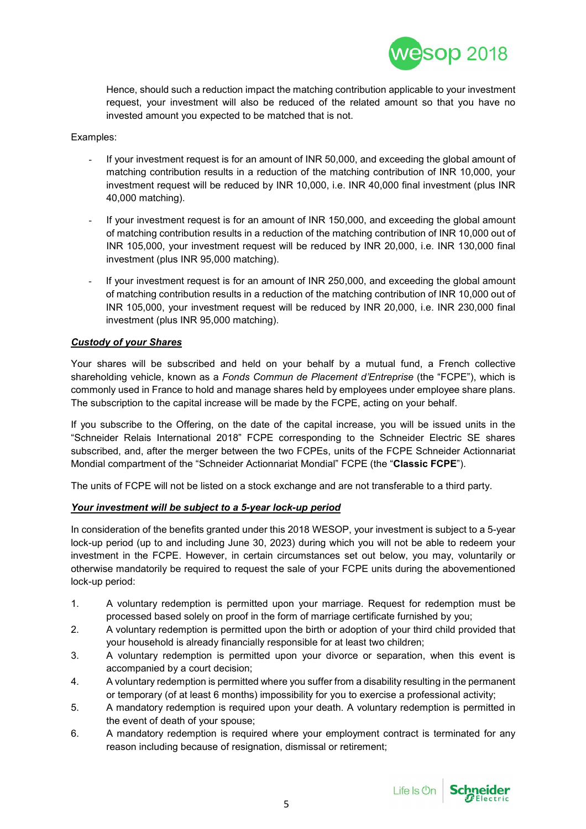

Hence, should such a reduction impact the matching contribution applicable to your investment request, your investment will also be reduced of the related amount so that you have no invested amount you expected to be matched that is not.

#### Examples:

- If your investment request is for an amount of INR 50,000, and exceeding the global amount of matching contribution results in a reduction of the matching contribution of INR 10,000, your investment request will be reduced by INR 10,000, i.e. INR 40,000 final investment (plus INR 40,000 matching).
- If your investment request is for an amount of INR 150,000, and exceeding the global amount of matching contribution results in a reduction of the matching contribution of INR 10,000 out of INR 105,000, your investment request will be reduced by INR 20,000, i.e. INR 130,000 final investment (plus INR 95,000 matching).
- If your investment request is for an amount of INR 250,000, and exceeding the global amount of matching contribution results in a reduction of the matching contribution of INR 10,000 out of INR 105,000, your investment request will be reduced by INR 20,000, i.e. INR 230,000 final investment (plus INR 95,000 matching).

#### *Custody of your Shares*

Your shares will be subscribed and held on your behalf by a mutual fund, a French collective shareholding vehicle, known as a *Fonds Commun de Placement d'Entreprise* (the "FCPE"), which is commonly used in France to hold and manage shares held by employees under employee share plans. The subscription to the capital increase will be made by the FCPE, acting on your behalf.

If you subscribe to the Offering, on the date of the capital increase, you will be issued units in the "Schneider Relais International 2018" FCPE corresponding to the Schneider Electric SE shares subscribed, and, after the merger between the two FCPEs, units of the FCPE Schneider Actionnariat Mondial compartment of the "Schneider Actionnariat Mondial" FCPE (the "**Classic FCPE**").

The units of FCPE will not be listed on a stock exchange and are not transferable to a third party.

#### *Your investment will be subject to a 5-year lock-up period*

In consideration of the benefits granted under this 2018 WESOP, your investment is subject to a 5-year lock-up period (up to and including June 30, 2023) during which you will not be able to redeem your investment in the FCPE. However, in certain circumstances set out below, you may, voluntarily or otherwise mandatorily be required to request the sale of your FCPE units during the abovementioned lock-up period:

- 1. A voluntary redemption is permitted upon your marriage. Request for redemption must be processed based solely on proof in the form of marriage certificate furnished by you;
- 2. A voluntary redemption is permitted upon the birth or adoption of your third child provided that your household is already financially responsible for at least two children;
- 3. A voluntary redemption is permitted upon your divorce or separation, when this event is accompanied by a court decision;
- 4. A voluntary redemption is permitted where you suffer from a disability resulting in the permanent or temporary (of at least 6 months) impossibility for you to exercise a professional activity;
- 5. A mandatory redemption is required upon your death. A voluntary redemption is permitted in the event of death of your spouse;
- 6. A mandatory redemption is required where your employment contract is terminated for any reason including because of resignation, dismissal or retirement;

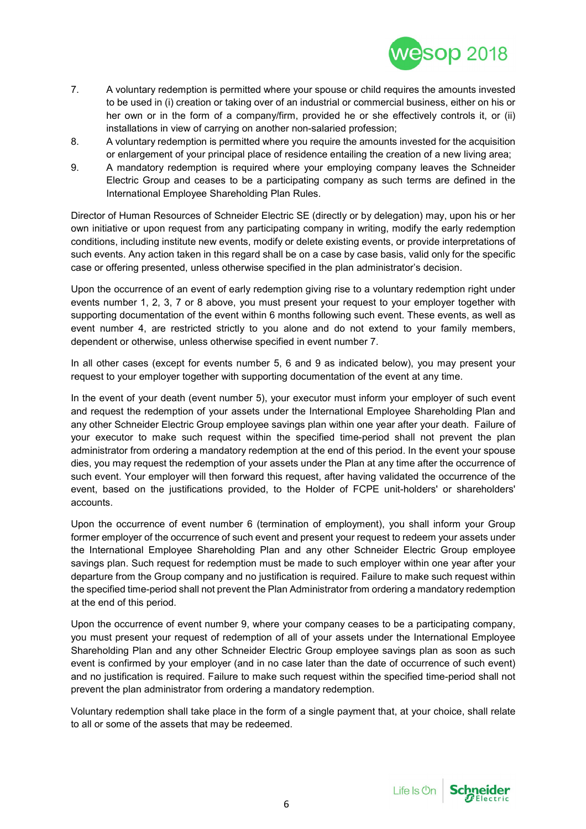

- 7. A voluntary redemption is permitted where your spouse or child requires the amounts invested to be used in (i) creation or taking over of an industrial or commercial business, either on his or her own or in the form of a company/firm, provided he or she effectively controls it, or (ii) installations in view of carrying on another non-salaried profession;
- 8. A voluntary redemption is permitted where you require the amounts invested for the acquisition or enlargement of your principal place of residence entailing the creation of a new living area;
- 9. A mandatory redemption is required where your employing company leaves the Schneider Electric Group and ceases to be a participating company as such terms are defined in the International Employee Shareholding Plan Rules.

Director of Human Resources of Schneider Electric SE (directly or by delegation) may, upon his or her own initiative or upon request from any participating company in writing, modify the early redemption conditions, including institute new events, modify or delete existing events, or provide interpretations of such events. Any action taken in this regard shall be on a case by case basis, valid only for the specific case or offering presented, unless otherwise specified in the plan administrator's decision.

Upon the occurrence of an event of early redemption giving rise to a voluntary redemption right under events number 1, 2, 3, 7 or 8 above, you must present your request to your employer together with supporting documentation of the event within 6 months following such event. These events, as well as event number 4, are restricted strictly to you alone and do not extend to your family members, dependent or otherwise, unless otherwise specified in event number 7.

In all other cases (except for events number 5, 6 and 9 as indicated below), you may present your request to your employer together with supporting documentation of the event at any time.

In the event of your death (event number 5), your executor must inform your employer of such event and request the redemption of your assets under the International Employee Shareholding Plan and any other Schneider Electric Group employee savings plan within one year after your death. Failure of your executor to make such request within the specified time-period shall not prevent the plan administrator from ordering a mandatory redemption at the end of this period. In the event your spouse dies, you may request the redemption of your assets under the Plan at any time after the occurrence of such event. Your employer will then forward this request, after having validated the occurrence of the event, based on the justifications provided, to the Holder of FCPE unit-holders' or shareholders' accounts.

Upon the occurrence of event number 6 (termination of employment), you shall inform your Group former employer of the occurrence of such event and present your request to redeem your assets under the International Employee Shareholding Plan and any other Schneider Electric Group employee savings plan. Such request for redemption must be made to such employer within one year after your departure from the Group company and no justification is required. Failure to make such request within the specified time-period shall not prevent the Plan Administrator from ordering a mandatory redemption at the end of this period.

Upon the occurrence of event number 9, where your company ceases to be a participating company, you must present your request of redemption of all of your assets under the International Employee Shareholding Plan and any other Schneider Electric Group employee savings plan as soon as such event is confirmed by your employer (and in no case later than the date of occurrence of such event) and no justification is required. Failure to make such request within the specified time-period shall not prevent the plan administrator from ordering a mandatory redemption.

Voluntary redemption shall take place in the form of a single payment that, at your choice, shall relate to all or some of the assets that may be redeemed.

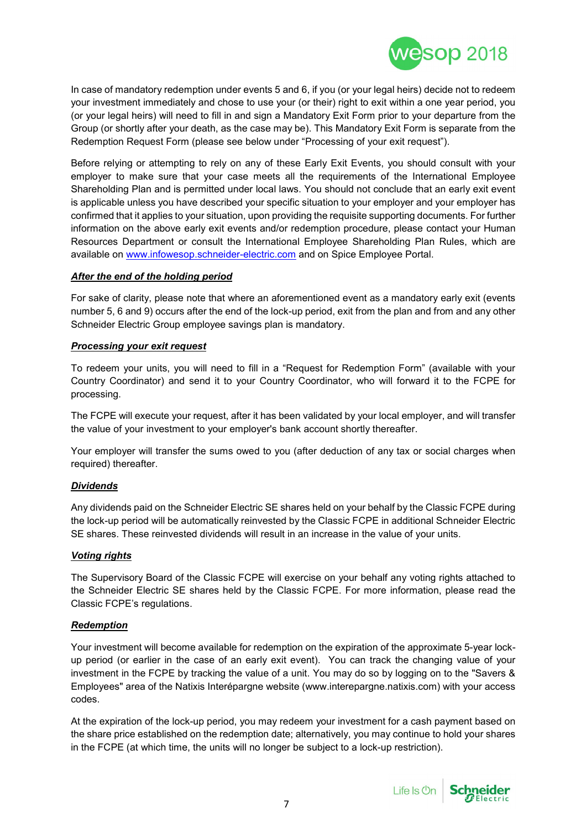

In case of mandatory redemption under events 5 and 6, if you (or your legal heirs) decide not to redeem your investment immediately and chose to use your (or their) right to exit within a one year period, you (or your legal heirs) will need to fill in and sign a Mandatory Exit Form prior to your departure from the Group (or shortly after your death, as the case may be). This Mandatory Exit Form is separate from the Redemption Request Form (please see below under "Processing of your exit request").

Before relying or attempting to rely on any of these Early Exit Events, you should consult with your employer to make sure that your case meets all the requirements of the International Employee Shareholding Plan and is permitted under local laws. You should not conclude that an early exit event is applicable unless you have described your specific situation to your employer and your employer has confirmed that it applies to your situation, upon providing the requisite supporting documents. For further information on the above early exit events and/or redemption procedure, please contact your Human Resources Department or consult the International Employee Shareholding Plan Rules, which are available on www.infowesop.schneider-electric.com and on Spice Employee Portal.

#### *After the end of the holding period*

For sake of clarity, please note that where an aforementioned event as a mandatory early exit (events number 5, 6 and 9) occurs after the end of the lock-up period, exit from the plan and from and any other Schneider Electric Group employee savings plan is mandatory.

#### *Processing your exit request*

To redeem your units, you will need to fill in a "Request for Redemption Form" (available with your Country Coordinator) and send it to your Country Coordinator, who will forward it to the FCPE for processing.

The FCPE will execute your request, after it has been validated by your local employer, and will transfer the value of your investment to your employer's bank account shortly thereafter.

Your employer will transfer the sums owed to you (after deduction of any tax or social charges when required) thereafter.

#### *Dividends*

Any dividends paid on the Schneider Electric SE shares held on your behalf by the Classic FCPE during the lock-up period will be automatically reinvested by the Classic FCPE in additional Schneider Electric SE shares. These reinvested dividends will result in an increase in the value of your units.

#### *Voting rights*

The Supervisory Board of the Classic FCPE will exercise on your behalf any voting rights attached to the Schneider Electric SE shares held by the Classic FCPE. For more information, please read the Classic FCPE's regulations.

#### *Redemption*

Your investment will become available for redemption on the expiration of the approximate 5-year lockup period (or earlier in the case of an early exit event). You can track the changing value of your investment in the FCPE by tracking the value of a unit. You may do so by logging on to the "Savers & Employees" area of the Natixis Interépargne website (www.interepargne.natixis.com) with your access codes.

At the expiration of the lock-up period, you may redeem your investment for a cash payment based on the share price established on the redemption date; alternatively, you may continue to hold your shares in the FCPE (at which time, the units will no longer be subject to a lock-up restriction).

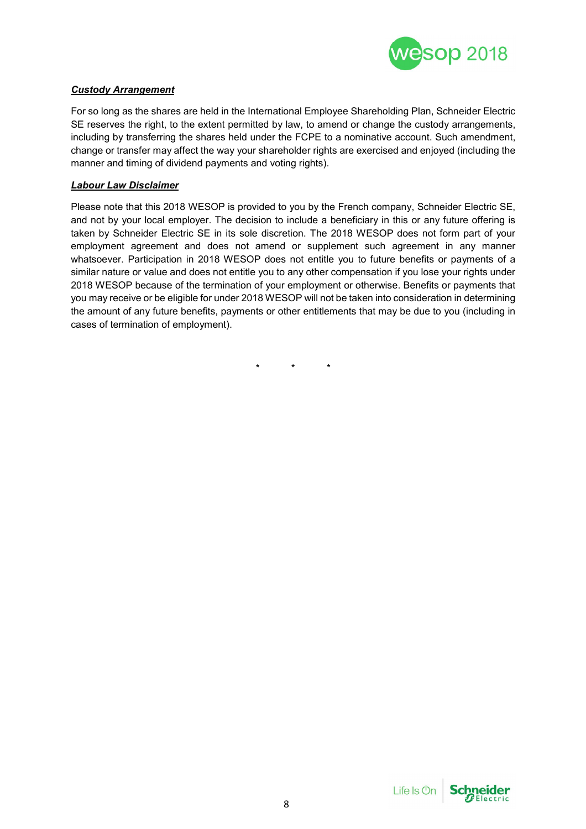

#### *Custody Arrangement*

For so long as the shares are held in the International Employee Shareholding Plan, Schneider Electric SE reserves the right, to the extent permitted by law, to amend or change the custody arrangements, including by transferring the shares held under the FCPE to a nominative account. Such amendment, change or transfer may affect the way your shareholder rights are exercised and enjoyed (including the manner and timing of dividend payments and voting rights).

#### *Labour Law Disclaimer*

Please note that this 2018 WESOP is provided to you by the French company, Schneider Electric SE, and not by your local employer. The decision to include a beneficiary in this or any future offering is taken by Schneider Electric SE in its sole discretion. The 2018 WESOP does not form part of your employment agreement and does not amend or supplement such agreement in any manner whatsoever. Participation in 2018 WESOP does not entitle you to future benefits or payments of a similar nature or value and does not entitle you to any other compensation if you lose your rights under 2018 WESOP because of the termination of your employment or otherwise. Benefits or payments that you may receive or be eligible for under 2018 WESOP will not be taken into consideration in determining the amount of any future benefits, payments or other entitlements that may be due to you (including in cases of termination of employment).

\* \* \*

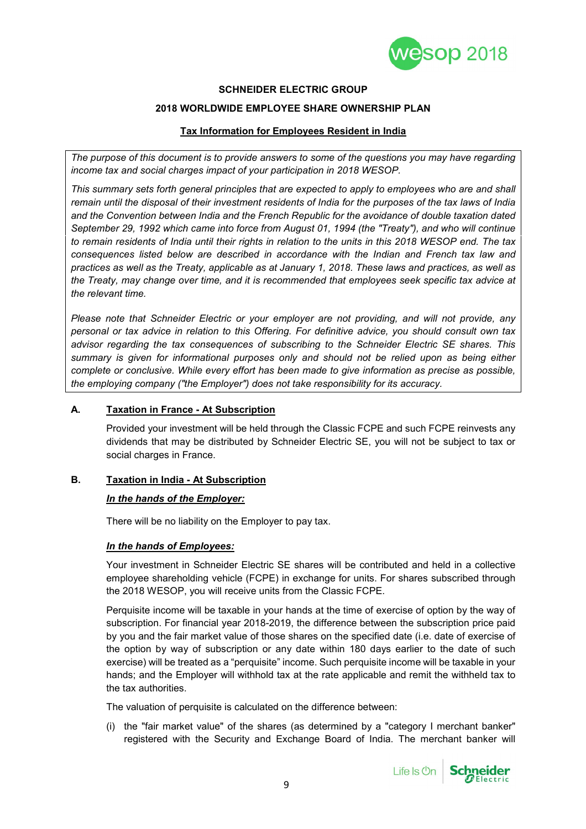

#### **SCHNEIDER ELECTRIC GROUP**

#### **2018 WORLDWIDE EMPLOYEE SHARE OWNERSHIP PLAN**

#### **Tax Information for Employees Resident in India**

*The purpose of this document is to provide answers to some of the questions you may have regarding income tax and social charges impact of your participation in 2018 WESOP.*

*This summary sets forth general principles that are expected to apply to employees who are and shall remain until the disposal of their investment residents of India for the purposes of the tax laws of India and the Convention between India and the French Republic for the avoidance of double taxation dated September 29, 1992 which came into force from August 01, 1994 (the "Treaty"), and who will continue to remain residents of India until their rights in relation to the units in this 2018 WESOP end. The tax consequences listed below are described in accordance with the Indian and French tax law and practices as well as the Treaty, applicable as at January 1, 2018. These laws and practices, as well as the Treaty, may change over time, and it is recommended that employees seek specific tax advice at the relevant time.*

*Please note that Schneider Electric or your employer are not providing, and will not provide, any personal or tax advice in relation to this Offering. For definitive advice, you should consult own tax advisor regarding the tax consequences of subscribing to the Schneider Electric SE shares. This summary is given for informational purposes only and should not be relied upon as being either complete or conclusive. While every effort has been made to give information as precise as possible, the employing company ("the Employer") does not take responsibility for its accuracy.*

#### **A. Taxation in France - At Subscription**

Provided your investment will be held through the Classic FCPE and such FCPE reinvests any dividends that may be distributed by Schneider Electric SE, you will not be subject to tax or social charges in France.

#### **B. Taxation in India - At Subscription**

#### *In the hands of the Employer:*

There will be no liability on the Employer to pay tax.

#### *In the hands of Employees:*

Your investment in Schneider Electric SE shares will be contributed and held in a collective employee shareholding vehicle (FCPE) in exchange for units. For shares subscribed through the 2018 WESOP, you will receive units from the Classic FCPE.

Perquisite income will be taxable in your hands at the time of exercise of option by the way of subscription. For financial year 2018-2019, the difference between the subscription price paid by you and the fair market value of those shares on the specified date (i.e. date of exercise of the option by way of subscription or any date within 180 days earlier to the date of such exercise) will be treated as a "perquisite" income. Such perquisite income will be taxable in your hands; and the Employer will withhold tax at the rate applicable and remit the withheld tax to the tax authorities.

The valuation of perquisite is calculated on the difference between:

(i) the "fair market value" of the shares (as determined by a "category I merchant banker" registered with the Security and Exchange Board of India. The merchant banker will

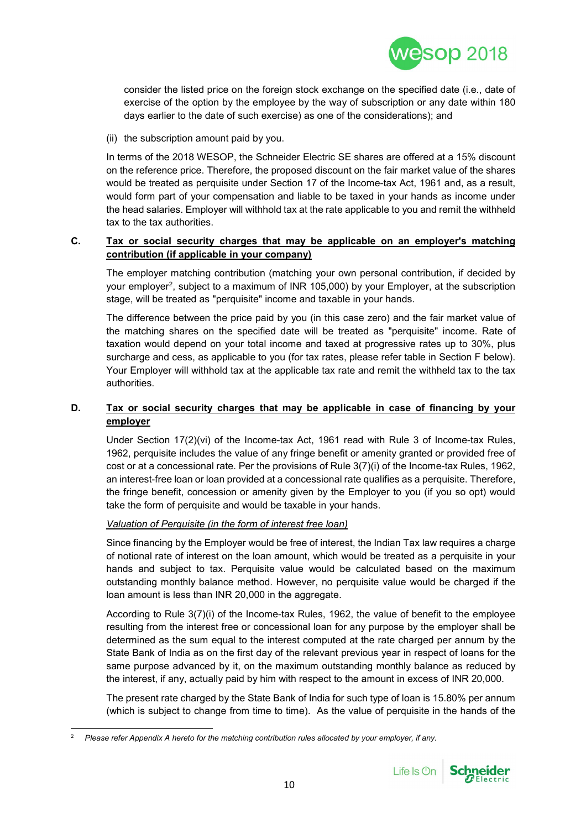

consider the listed price on the foreign stock exchange on the specified date (i.e., date of exercise of the option by the employee by the way of subscription or any date within 180 days earlier to the date of such exercise) as one of the considerations); and

(ii) the subscription amount paid by you.

In terms of the 2018 WESOP, the Schneider Electric SE shares are offered at a 15% discount on the reference price. Therefore, the proposed discount on the fair market value of the shares would be treated as perquisite under Section 17 of the Income-tax Act, 1961 and, as a result, would form part of your compensation and liable to be taxed in your hands as income under the head salaries. Employer will withhold tax at the rate applicable to you and remit the withheld tax to the tax authorities.

#### **C. Tax or social security charges that may be applicable on an employer's matching contribution (if applicable in your company)**

The employer matching contribution (matching your own personal contribution, if decided by your employer<sup>2</sup>, subject to a maximum of INR 105,000) by your Employer, at the subscription stage, will be treated as "perquisite" income and taxable in your hands.

The difference between the price paid by you (in this case zero) and the fair market value of the matching shares on the specified date will be treated as "perquisite" income. Rate of taxation would depend on your total income and taxed at progressive rates up to 30%, plus surcharge and cess, as applicable to you (for tax rates, please refer table in Section F below). Your Employer will withhold tax at the applicable tax rate and remit the withheld tax to the tax authorities.

## **D. Tax or social security charges that may be applicable in case of financing by your employer**

Under Section 17(2)(vi) of the Income-tax Act, 1961 read with Rule 3 of Income-tax Rules, 1962, perquisite includes the value of any fringe benefit or amenity granted or provided free of cost or at a concessional rate. Per the provisions of Rule 3(7)(i) of the Income-tax Rules, 1962, an interest-free loan or loan provided at a concessional rate qualifies as a perquisite. Therefore, the fringe benefit, concession or amenity given by the Employer to you (if you so opt) would take the form of perquisite and would be taxable in your hands.

## *Valuation of Perquisite (in the form of interest free loan)*

Since financing by the Employer would be free of interest, the Indian Tax law requires a charge of notional rate of interest on the loan amount, which would be treated as a perquisite in your hands and subject to tax. Perquisite value would be calculated based on the maximum outstanding monthly balance method. However, no perquisite value would be charged if the loan amount is less than INR 20,000 in the aggregate.

According to Rule 3(7)(i) of the Income-tax Rules, 1962, the value of benefit to the employee resulting from the interest free or concessional loan for any purpose by the employer shall be determined as the sum equal to the interest computed at the rate charged per annum by the State Bank of India as on the first day of the relevant previous year in respect of loans for the same purpose advanced by it, on the maximum outstanding monthly balance as reduced by the interest, if any, actually paid by him with respect to the amount in excess of INR 20,000.

The present rate charged by the State Bank of India for such type of loan is 15.80% per annum (which is subject to change from time to time). As the value of perquisite in the hands of the



<sup>2</sup> *Please refer Appendix A hereto for the matching contribution rules allocated by your employer, if any.*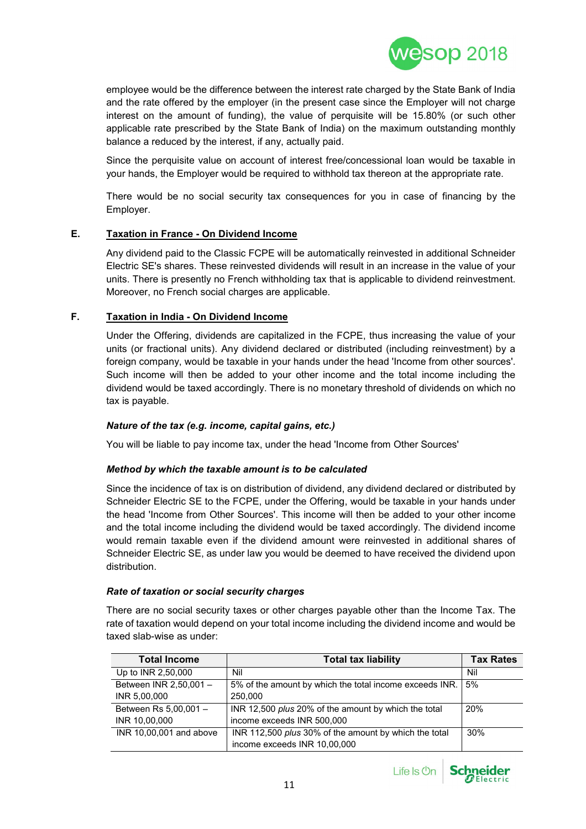

employee would be the difference between the interest rate charged by the State Bank of India and the rate offered by the employer (in the present case since the Employer will not charge interest on the amount of funding), the value of perquisite will be 15.80% (or such other applicable rate prescribed by the State Bank of India) on the maximum outstanding monthly balance a reduced by the interest, if any, actually paid.

Since the perquisite value on account of interest free/concessional loan would be taxable in your hands, the Employer would be required to withhold tax thereon at the appropriate rate.

There would be no social security tax consequences for you in case of financing by the Employer.

#### **E. Taxation in France - On Dividend Income**

Any dividend paid to the Classic FCPE will be automatically reinvested in additional Schneider Electric SE's shares. These reinvested dividends will result in an increase in the value of your units. There is presently no French withholding tax that is applicable to dividend reinvestment. Moreover, no French social charges are applicable.

#### **F. Taxation in India - On Dividend Income**

Under the Offering, dividends are capitalized in the FCPE, thus increasing the value of your units (or fractional units). Any dividend declared or distributed (including reinvestment) by a foreign company, would be taxable in your hands under the head 'Income from other sources'. Such income will then be added to your other income and the total income including the dividend would be taxed accordingly. There is no monetary threshold of dividends on which no tax is payable.

#### *Nature of the tax (e.g. income, capital gains, etc.)*

You will be liable to pay income tax, under the head 'Income from Other Sources'

#### *Method by which the taxable amount is to be calculated*

Since the incidence of tax is on distribution of dividend, any dividend declared or distributed by Schneider Electric SE to the FCPE, under the Offering, would be taxable in your hands under the head 'Income from Other Sources'. This income will then be added to your other income and the total income including the dividend would be taxed accordingly. The dividend income would remain taxable even if the dividend amount were reinvested in additional shares of Schneider Electric SE, as under law you would be deemed to have received the dividend upon distribution.

#### *Rate of taxation or social security charges*

There are no social security taxes or other charges payable other than the Income Tax. The rate of taxation would depend on your total income including the dividend income and would be taxed slab-wise as under:

| <b>Total Income</b>     | <b>Total tax liability</b>                                   | <b>Tax Rates</b> |
|-------------------------|--------------------------------------------------------------|------------------|
| Up to INR 2,50,000      | Nil                                                          | Nil              |
| Between INR 2,50,001 -  | 5% of the amount by which the total income exceeds INR.      | 5%               |
| INR 5,00,000            | 250,000                                                      |                  |
| Between Rs 5,00,001 -   | INR 12,500 plus 20% of the amount by which the total         | 20%              |
| INR 10,00,000           | income exceeds INR 500,000                                   |                  |
| INR 10,00,001 and above | INR 112,500 <i>plus</i> 30% of the amount by which the total | 30%              |
|                         | income exceeds INR 10,00,000                                 |                  |



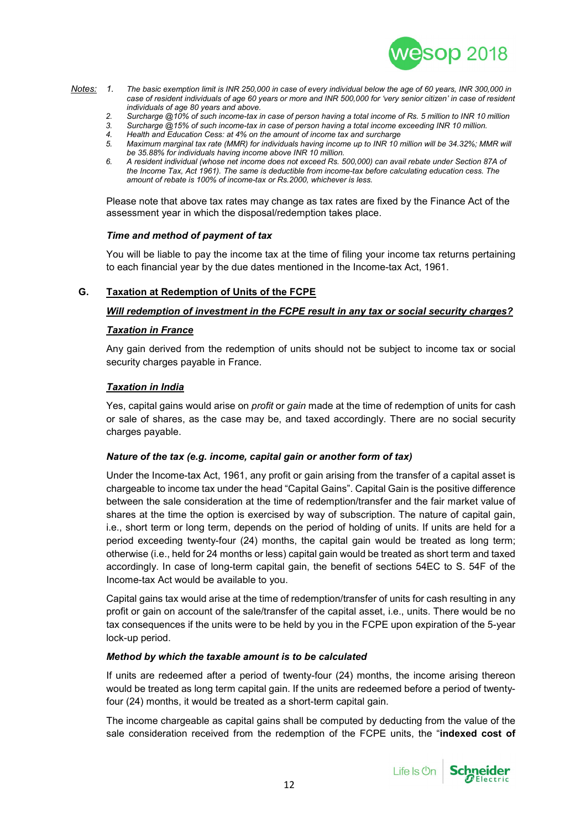

- *Notes: 1. The basic exemption limit is INR 250,000 in case of every individual below the age of 60 years, INR 300,000 in case of resident individuals of age 60 years or more and INR 500,000 for 'very senior citizen' in case of resident individuals of age 80 years and above.*
	- *2. Surcharge @10% of such income-tax in case of person having a total income of Rs. 5 million to INR 10 million*
	- *3. Surcharge @15% of such income-tax in case of person having a total income exceeding INR 10 million.*
	- *4. Health and Education Cess: at 4% on the amount of income tax and surcharge*
	- Maximum marginal tax rate (MMR) for individuals having income up to INR 10 million will be 34.32%; MMR will *be 35.88% for individuals having income above INR 10 million.*
	- *6. A resident individual (whose net income does not exceed Rs. 500,000) can avail rebate under Section 87A of the Income Tax, Act 1961). The same is deductible from income-tax before calculating education cess. The amount of rebate is 100% of income-tax or Rs.2000, whichever is less.*

Please note that above tax rates may change as tax rates are fixed by the Finance Act of the assessment year in which the disposal/redemption takes place.

#### *Time and method of payment of tax*

You will be liable to pay the income tax at the time of filing your income tax returns pertaining to each financial year by the due dates mentioned in the Income-tax Act, 1961.

#### **G. Taxation at Redemption of Units of the FCPE**

#### *Will redemption of investment in the FCPE result in any tax or social security charges?*

#### *Taxation in France*

Any gain derived from the redemption of units should not be subject to income tax or social security charges payable in France.

#### *Taxation in India*

Yes, capital gains would arise on *profit* or *gain* made at the time of redemption of units for cash or sale of shares, as the case may be, and taxed accordingly. There are no social security charges payable.

#### *Nature of the tax (e.g. income, capital gain or another form of tax)*

Under the Income-tax Act, 1961, any profit or gain arising from the transfer of a capital asset is chargeable to income tax under the head "Capital Gains". Capital Gain is the positive difference between the sale consideration at the time of redemption/transfer and the fair market value of shares at the time the option is exercised by way of subscription. The nature of capital gain, i.e., short term or long term, depends on the period of holding of units. If units are held for a period exceeding twenty-four (24) months, the capital gain would be treated as long term; otherwise (i.e., held for 24 months or less) capital gain would be treated as short term and taxed accordingly. In case of long-term capital gain, the benefit of sections 54EC to S. 54F of the Income-tax Act would be available to you.

Capital gains tax would arise at the time of redemption/transfer of units for cash resulting in any profit or gain on account of the sale/transfer of the capital asset, i.e., units. There would be no tax consequences if the units were to be held by you in the FCPE upon expiration of the 5-year lock-up period.

#### *Method by which the taxable amount is to be calculated*

If units are redeemed after a period of twenty-four (24) months, the income arising thereon would be treated as long term capital gain. If the units are redeemed before a period of twentyfour (24) months, it would be treated as a short-term capital gain.

The income chargeable as capital gains shall be computed by deducting from the value of the sale consideration received from the redemption of the FCPE units, the "**indexed cost of**

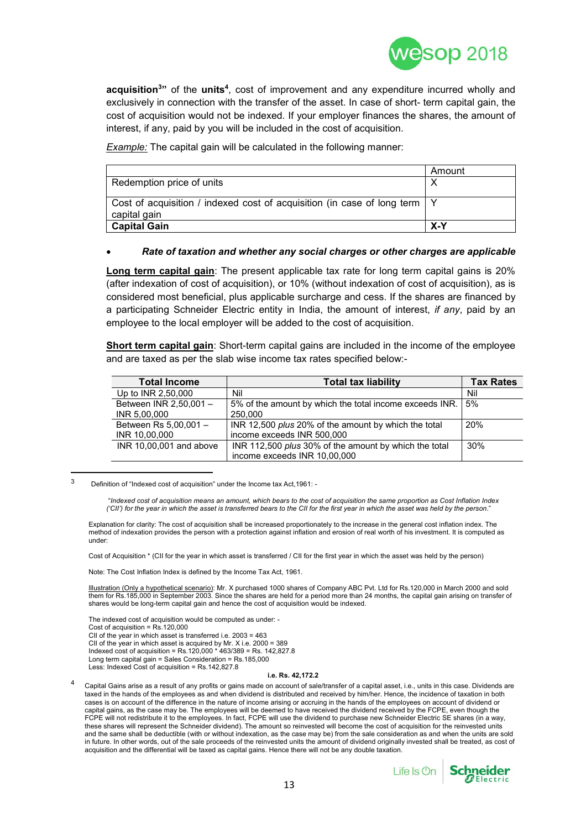

**acquisition<sup>3</sup>"** of the **units<sup>4</sup>** , cost of improvement and any expenditure incurred wholly and exclusively in connection with the transfer of the asset. In case of short- term capital gain, the cost of acquisition would not be indexed. If your employer finances the shares, the amount of interest, if any, paid by you will be included in the cost of acquisition.

*Example:* The capital gain will be calculated in the following manner:

|                                                                                             | Amount |
|---------------------------------------------------------------------------------------------|--------|
| Redemption price of units                                                                   |        |
| Cost of acquisition / indexed cost of acquisition (in case of long term   Y<br>capital gain |        |
| <b>Capital Gain</b>                                                                         | $X-Y$  |

#### *Rate of taxation and whether any social charges or other charges are applicable*

**Long term capital gain**: The present applicable tax rate for long term capital gains is 20% (after indexation of cost of acquisition), or 10% (without indexation of cost of acquisition), as is considered most beneficial, plus applicable surcharge and cess. If the shares are financed by a participating Schneider Electric entity in India, the amount of interest, *if any*, paid by an employee to the local employer will be added to the cost of acquisition.

**Short term capital gain**: Short-term capital gains are included in the income of the employee and are taxed as per the slab wise income tax rates specified below:-

| <b>Total Income</b>     | <b>Total tax liability</b>                                   | <b>Tax Rates</b> |
|-------------------------|--------------------------------------------------------------|------------------|
| Up to INR 2,50,000      | Nil                                                          | Nil              |
| Between INR 2,50,001 -  | 5% of the amount by which the total income exceeds INR.      | 5%               |
| INR 5,00,000            | 250,000                                                      |                  |
| Between Rs 5,00,001 -   | INR 12,500 plus 20% of the amount by which the total         | 20%              |
| INR 10,00,000           | income exceeds INR 500,000                                   |                  |
| INR 10,00,001 and above | INR 112,500 <i>plus</i> 30% of the amount by which the total | 30%              |
|                         | income exceeds INR 10,00,000                                 |                  |

<sup>3</sup> Definition of "Indexed cost of acquisition" under the Income tax Act,1961: -

"*Indexed cost of acquisition means an amount, which bears to the cost of acquisition the same proportion as Cost Inflation Index ('CII') for the year in which the asset is transferred bears to the CII for the first year in which the asset was held by the person*."

Explanation for clarity: The cost of acquisition shall be increased proportionately to the increase in the general cost inflation index. The method of indexation provides the person with a protection against inflation and erosion of real worth of his investment. It is computed as under:

Cost of Acquisition \* (CII for the year in which asset is transferred / CII for the first year in which the asset was held by the person)

Note: The Cost Inflation Index is defined by the Income Tax Act, 1961.

Illustration (Only a hypothetical scenario): Mr. X purchased 1000 shares of Company ABC Pvt. Ltd for Rs.120,000 in March 2000 and sold them for Rs.185,000 in September 2003. Since the shares are held for a period more than 24 months, the capital gain arising on transfer of shares would be long-term capital gain and hence the cost of acquisition would be indexed.

The indexed cost of acquisition would be computed as under: - Cost of acquisition =  $Rs.120,000$ CII of the year in which asset is transferred i.e. 2003 = 463 CII of the year in which asset is acquired by Mr. X i.e. 2000 = 389 Indexed cost of acquisition = Rs.120,000 \* 463/389 = Rs. 142,827.8 Long term capital gain = Sales Consideration = Rs.185,000 Less: Indexed Cost of acquisition = Rs.142,827.8

#### **i.e. Rs. 42,172.2**

Capital Gains arise as a result of any profits or gains made on account of sale/transfer of a capital asset, i.e., units in this case. Dividends are taxed in the hands of the employees as and when dividend is distributed and received by him/her. Hence, the incidence of taxation in both cases is on account of the difference in the nature of income arising or accruing in the hands of the employees on account of dividend or capital gains, as the case may be. The employees will be deemed to have received the dividend received by the FCPE, even though the FCPE will not redistribute it to the employees. In fact, FCPE will use the dividend to purchase new Schneider Electric SE shares (in a way, these shares will represent the Schneider dividend). The amount so reinvested will become the cost of acquisition for the reinvested units and the same shall be deductible (with or without indexation, as the case may be) from the sale consideration as and when the units are sold in future. In other words, out of the sale proceeds of the reinvested units the amount of dividend originally invested shall be treated, as cost of acquisition and the differential will be taxed as capital gains. Hence there will not be any double taxation.



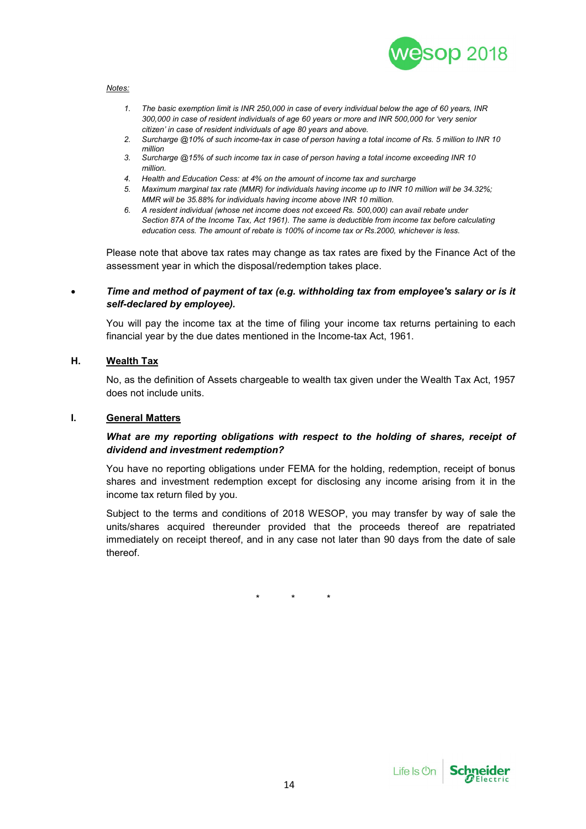

#### *Notes:*

- *1. The basic exemption limit is INR 250,000 in case of every individual below the age of 60 years, INR 300,000 in case of resident individuals of age 60 years or more and INR 500,000 for 'very senior citizen' in case of resident individuals of age 80 years and above.*
- *2. Surcharge @10% of such income-tax in case of person having a total income of Rs. 5 million to INR 10 million*
- *3. Surcharge @15% of such income tax in case of person having a total income exceeding INR 10 million.*
- *4. Health and Education Cess: at 4% on the amount of income tax and surcharge*
- *5. Maximum marginal tax rate (MMR) for individuals having income up to INR 10 million will be 34.32%; MMR will be 35.88% for individuals having income above INR 10 million.*
- *6. A resident individual (whose net income does not exceed Rs. 500,000) can avail rebate under Section 87A of the Income Tax, Act 1961). The same is deductible from income tax before calculating education cess. The amount of rebate is 100% of income tax or Rs.2000, whichever is less.*

Please note that above tax rates may change as tax rates are fixed by the Finance Act of the assessment year in which the disposal/redemption takes place.

#### *Time and method of payment of tax (e.g. withholding tax from employee's salary or is it self-declared by employee).*

You will pay the income tax at the time of filing your income tax returns pertaining to each financial year by the due dates mentioned in the Income-tax Act, 1961.

## **H. Wealth Tax**

No, as the definition of Assets chargeable to wealth tax given under the Wealth Tax Act, 1957 does not include units.

#### **I. General Matters**

#### *What are my reporting obligations with respect to the holding of shares, receipt of dividend and investment redemption?*

You have no reporting obligations under FEMA for the holding, redemption, receipt of bonus shares and investment redemption except for disclosing any income arising from it in the income tax return filed by you.

Subject to the terms and conditions of 2018 WESOP, you may transfer by way of sale the units/shares acquired thereunder provided that the proceeds thereof are repatriated immediately on receipt thereof, and in any case not later than 90 days from the date of sale thereof.

\* \* \*